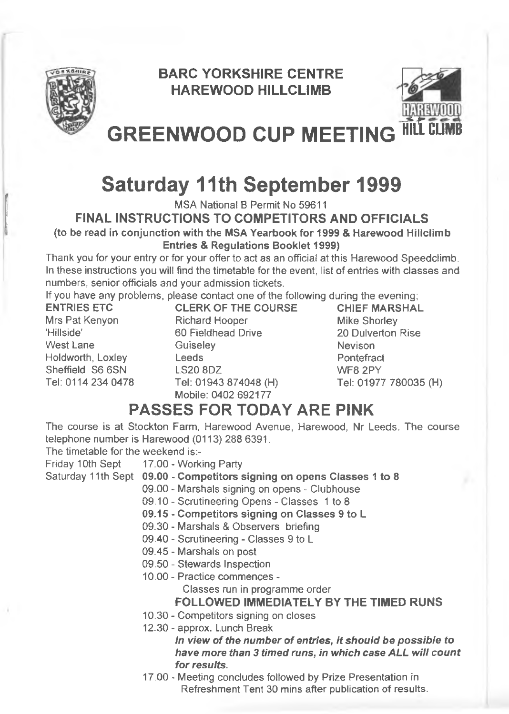

# **BARC YORKSHIRE CENTRE HAREWOOD HILLCLIMB**



**GREENWOOD CUP MEETING** 

# **Saturday 11th September 1999**

MSA National B Permit No 59611

**FINAL INSTRUCTIONS TO COMPETITORS AND OFFICIALS (to be read in conjunction with the MSA Yearbook for 1999 & Harewood Hillclimb**

**Entries & Regulations Booklet 1999)**

Thank you for your entry or for your offer to act as an official at this Harewood Speedclimb. In these instructions you will find the timetable for the event, list of entries with classes and numbers, senior officials and your admission tickets.

If you have any problems, please contact one of the following during the evening;

**ENTRIES ETC** Mrs Pat Kenyon 'Hillside' West Lane Holdworth, Loxley Sheffield S6 6SN Tel: 0114 234 0478 **CLERK OF THE COURSE** Richard Hooper 60 Fieldhead Drive **Guiseley** Leeds LS20 8DZ Tel: 01943 874048 (H) Mobile: 0402 692177

**CHIEF MARSHAL** Mike Shorley 20 Dulverton Rise **Nevison Pontefract** WF8 2PY Tel; 01977 780035 (H)

# **PASSES FOR TODAY ARE PINK**

The course is at Stockton Farm, Harewood Avenue, Harewood, Nr Leeds, The course telephone number is Harewood (0113) 288 6391.

The timetable for the weekend is:-

- Friday 10th Sept 17.00 - Working Party
- Saturday 11th Sept **09.00 Competitors signing on opens Classes 1 to 8**
	- 09.00 Marshals signing on opens Clubhouse
	- 09.10 Scrutineering Opens Classes 1 to 8
	- **09.15 Competitors signing on Classes 9 to L**
	- 09.30 Marshals & Observers briefing
	- 09.40 Scrutineering Classes 9 to L
	- 09.45 Marshals on post
	- 09.50 Stewards Inspection
	- 10.00 Practice commences -

Classes run in programme order

**FOLLOWED IMMEDIATELY BY THE TIMED RUNS**

- 10.30 Competitors signing on closes
- 12.30 approx. Lunch Break

*In view of the number of entries, it shouid be possible to have more than 3 timed runs, in which case ALL will count for results.*

17.00 - Meeting concludes followed by Prize Presentation in Refreshment Tent 30 mins after publication of results.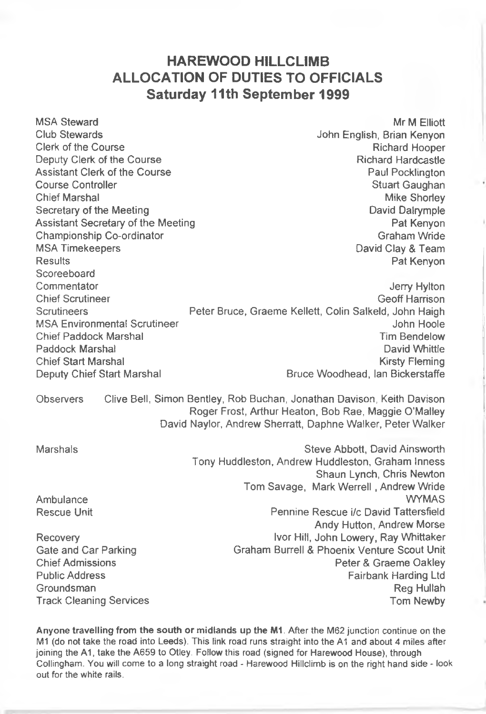# **HAREWOOD HILLCLIMB ALLOCATION OF DUTIES TO OFFICIALS Saturday 11th September 1999**

MSA Steward Mr M Elliott Number of the Steward Mr M Elliott Number of the Mr M Elliott Number of the Mr M Elliott Club Stewards John English, Brian Kenyon Clerk of the Course Deputy Clerk of the Course **Richard Hardcastle**<br>
Assistant Clerk of the Course **Richard Hardcastle**<br>
Raul Pocklington Assistant Clerk of the Course<br>Course Controller Course Controller and the Course Controller Stuart Gaughan<br>Chief Marshal Mike Shortev Mike Shorley Secretary of the Meeting<br>
Assistant Secretary of the Meeting<br>
David Dalrymple<br>
Pat Kenyon Assistant Secretary of the Meeting Championship Co-ordinator Championship Co-ordinator Championship Co-ordinator Championship Co-ordinator Championship Championship Championship Championship Championship Championship Championship Championship Championship C MSA Timekeepers David Clay & Team Pat Kenyon Scoreeboard Commentator **Commentator** Jerry Hylton Chief Scrutineer<br>
Ceoff Harrison<br>
Chief Scrutineers<br>
Colin Salkeld John Haigh Peter Bruce, Graeme Kellett, Colin Salkeld, John Haigh MSA Environmental Scrutineer John Hoole John Hoole Chief Paddock Marshal **Chief Paddock Marshal Chief Paddock Marshal** Tim Bendelow<br>Paddock Marshal **Tim Bendelow** David Whittle Paddock Marshal Chief Start Marshal **Kirsty Fleming**<br>Deputy Chief Start Marshal **Kirsty Bruce Woodhead.** Ian Bickerstaffe Bruce Woodhead, Ian Bickerstaffe Observers Clive Bell, Simon Bentley, Rob Buchan, Jonathan Davison, Keith Davison Roger Frost, Arthur Heaton, Bob Rae, Maggie O'Malley David Naylor, Andrew Sherratt, Daphne Walker, Peter Walker Marshals **Marshals** Steve Abbott, David Ainsworth Tony Huddleston, Andrew Huddleston, Graham Inness Shaun Lynch, Chris Newton Tom Savage, Mark Werrell, Andrew Wride Ambulance WYMAS Rescue Unit Pennine Rescue i/c David Tattersfield Andy Hutton, Andrew Morse Recovery **IVOR** IVOR Hill, John Lowery, Ray Whittaker Gate and Car Parking Graham Burrell & Phoenix Venture Scout Unit<br>Chief Admissions Peter & Graeme Oakley Chief Admissions **Peter & Graeme Oakley (2018)**<br>Public Address **Public Address** Public Address **Patricians Patricians** Patriot I to Patricians I to Fairbank Harding Ltd Groundsman **Reg Hullah Track Cleaning Services** The Communication of the Cleaning Services Tom Newby

Anyone travelling from the south or midlands up the M1. After the M62 junction continue on the M1 (do not take the road into Leeds). This link road runs straight into the A1 and about 4 miles after joining the A1, take the A659 to Otiey. Follow this road (signed for Harewood House), through Collingham. You will come to a long straight road - Harewood Hillclimb is on the right hand side - look out for the white rails.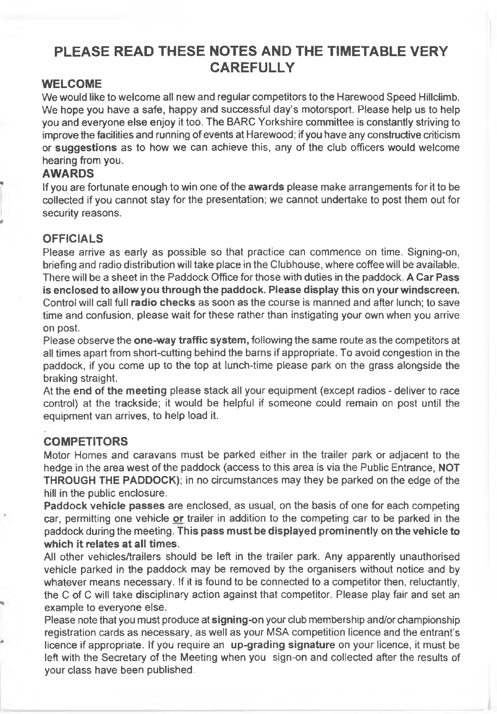# **PLEASE READ THESE NOTES AND THE TIMETABLE VERY CAREFULLY**

#### **WELCOME**

We would like to welcome all new and regular competitors to the Harewood Speed Hillclimb. We hope you have a safe, happy and successful day's motorsport. Please help us to help you and everyone else enjoy it too. The BARC Yorkshire committee is constantly striving to improve the facilities and running of events at Harewood; if you have any constructive criticism or suggestions as to how we can achieve this, any of the club officers would welcome hearing from you.

#### **AWARDS**

If you are fortunate enough to win one of the awards please make arrangements for it to be collected if you cannot stay for the presentation; we cannot undertake to post them out for security reasons.

#### **OFFICIALS**

Please arrive as early as possible so that practice can commence on time. Signing-on, briefing and radio distribution will take place in the Clubhouse, where coffee will be available. There will be a sheet in the Paddock Office for those with duties in the paddock. A Car Pass is enclosed to allow you through the paddock. Please display this on your windscreen. Control will call full radio checks as soon as the course is manned and after lunch; to save time and confusion, please wait for these rather than instigating your own when you arrive on post.

Please observe the **one-way traffic system**, following the same route as the competitors at all times apart from short-cutting behind the barns if appropriate. To avoid congestion in the paddock, if you come up to the top at lunch-time please park on the grass alongside the braking straight.

At the end of the meeting please stack all your equipment (except radios - deliver to race control) at the trackside; it would be helpful if someone could remain on post until the equipment van arrives, to help load it.

#### **COMPETITORS**

Motor Homes and caravans must be parked either in the trailer park or adjacent to the hedge in the area west of the paddock (access to this area is via the Public Entrance, NOT THROUGH THE PADDOCK); in no circumstances may they be parked on the edge of the hill in the public enclosure.

Paddock vehicle passes are enclosed, as usual, on the basis of one for each competing car, permitting one vehicle or trailer in addition to the competing car to be parked in the paddock during the meeting. This pass must be displayed prominently on the vehicle to which it relates at all times.

All other vehicles/trailers should be left in the trailer park. Any apparently unauthorised vehicle parked in the paddock may be removed by the organisers without notice and by whatever means necessary. If it is found to be connected to a competitor then, reluctantly, the C of C will take disciplinary action against that competitor. Please play fair and set an example to everyone else.

Please note that you must produce at signing-on your club membership and/or championship registration cards as necessary, as well as your MSA competition licence and the entrant's licence if appropriate. If you require an up-grading signature on your licence, it must be left with the Secretary of the Meeting when you sign-on and collected after the results of your class have been published.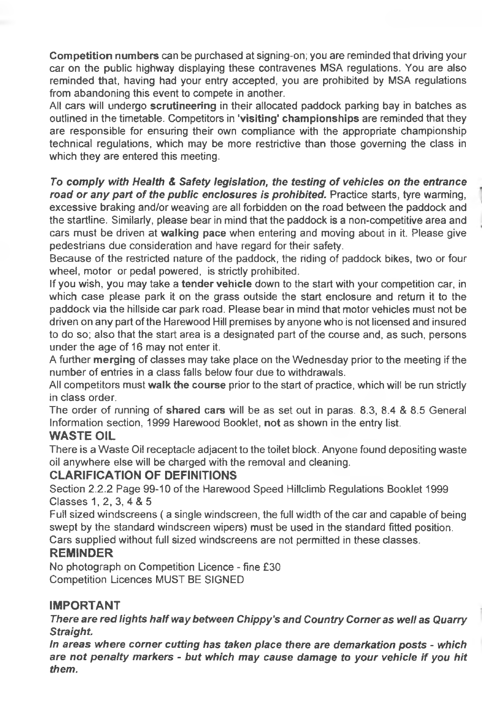Competition numbers can be purchased at signing-on; you are reminded that driving your car on the public highway displaying these contravenes MSA regulations. You are also reminded that, having had your entry accepted, you are prohibited by MSA regulations from abandoning this event to compete in another.

All cars will undergo scrutineering in their allocated paddock parking bay in batches as outlined in the timetable. Competitors in 'visiting' championships are reminded that they are responsible for ensuring their own compliance with the appropriate championship technical regulations, which may be more restrictive than those governing the class in which they are entered this meeting.

*To comply with Health & Safety legislation, the testing of vehicles on the entrance road or any part of the public enclosures is prohibited.* Practice starts, tyre warming, excessive braking and/or weaving are all forbidden on the road between the paddock and the startline. Similarly, please bear in mind that the paddock is a non-competitive area and cars must be driven at walking pace when entering and moving about in it. Please give pedestrians due consideration and have regard for their safety.

Because of the restricted nature of the paddock, the riding of paddock bikes, two or four wheel, motor or pedal powered, is strictly prohibited.

If you wish, you may take a tender vehicle down to the start with your competition car, in which case please park it on the grass outside the start enclosure and return it to the paddock via the hillside car park road. Please bear in mind that motor vehicles must not be driven on any part of the Harewood Hill premises by anyone who is not licensed and insured to do so; also that the start area is a designated part of the course and, as such, persons under the age of 16 may not enter it.

A further merging of classes may take place on the Wednesday prior to the meeting if the number of entries in a class falls below four due to withdrawals.

All competitors must walk the course prior to the start of practice, which will be run strictly in class order.

The order of running of shared cars will be as set out in paras. 8.3, 8.4 & 8.5 General Information section, 1999 Harewood Booklet, not as shown in the entry list.

#### **WASTE OIL**

There is a Waste Oil receptacle adjacent to the toilet block. Anyone found depositing waste oil anywhere else will be charged with the removal and cleaning.

#### **CLARIFICATION OF DEFINITIONS**

Section 2.2.2 Page 99-10 of the Harewood Speed Hillciimb Regulations Booklet 1999 Classes 1,2, 3. 4 & 5

Full sized windscreens ( a single windscreen, the full width of the car and capable of being swept by the standard windscreen wipers) must be used in the standard fitted position. Cars supplied without full sized windscreens are not permitted in these classes.

#### **REMINDER**

No photograph on Competition Licence - fine £30 Competition Licences MUST BE SIGNED

### **IMPORTANT**

*There are red lights half way between Chippy's and Country Corner as well as Quarry Straight.*

*In areas where corner cutting has taken place there are demarkation posts - which are not penalty markers - but which may cause damage to your vehicle if you hit them.*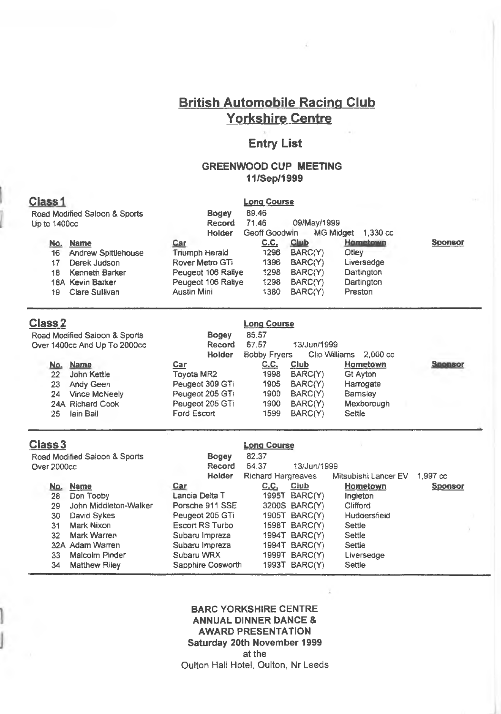## **British Automobile Racing Club Yorkshire Centre**

#### **Entry List**

#### **GREENWOOD CUP MEETING 11/Sep/1999**

#### **Class 1** Road Modified Saloon & Sports Up to 1400cc No. Name 16 Andrew Spittlehouse<br>17 Derek Judson Derek Judson 18 Kenneth Barker 18A Kevin Barker 19 Clare Sullivan Bogey Record Holder Car Triumph Herald Rover Metro GTi Peugeot 106 Raliye Peugeot 106 Rallye Austin Mini Long Course 89.46 71.46 09/May/1999 MG Midget 1,330 cc **c.c.** 1296 1396 1298 1298 1380 Club BARC(Y) BARC(Y) BARC(Y) BARC(Y) BARC(Y) Hometown **Otley** Liversedge **Dartington Dartington** Preston Sponsor

| Class 2                       |                 | <b>Long Course</b>  |               |                    |                     |
|-------------------------------|-----------------|---------------------|---------------|--------------------|---------------------|
| Road Modified Saloon & Sports | <b>Bogey</b>    | 85.57               |               |                    |                     |
| Over 1400cc And Up To 2000cc  | Record          | 67.57               | 13/Jun/1999   |                    |                     |
|                               | Holder          | <b>Bobby Fryers</b> | Clio Williams | $2.000 \text{ cc}$ |                     |
| <b>Name</b><br>No.            | Car             | C.C.                | Club          | Hometown           | -nonso <sup>r</sup> |
| 22<br>John Kettle             | Tovota MR2      | 1998                | BARC(Y)       | Gt Ayton           |                     |
| Andy Geen<br>23               | Peugeot 309 GTi | 1905                | BARC(Y)       | Harrogate          |                     |
| Vince McNeely<br>24           | Peugeot 205 GTi | 1900                | BARC(Y)       | Bamsley            |                     |
| 24A Richard Cook              | Peugeot 205 GTi | 1900                | BARC(Y)       | Mexborough         |                     |
| lain Ball<br>25               | Ford Escort     | 1599                | BARC(Y)       | Settle             |                     |
|                               |                 |                     |               |                    |                     |

| Class 3     |                               |                   | Lona Course               |                      |                      |                    |  |
|-------------|-------------------------------|-------------------|---------------------------|----------------------|----------------------|--------------------|--|
|             | Road Modified Saloon & Sports | <b>Bogey</b>      | 82.37                     |                      |                      |                    |  |
| Over 2000cc |                               | Record            | 64.37                     |                      | 13/Jun/1999          |                    |  |
|             |                               | Holder            | <b>Richard Hargreaves</b> |                      | Mitsubishi Lancer EV | $1.997 \text{ cc}$ |  |
| No.         | <b>Name</b>                   | Car               | C.C.                      | Club                 | Hometown             | <b>Sponsor</b>     |  |
| 28          | Don Tooby                     | Lancia Delta T    |                           | 1995T BARC(Y)        | Ingleton             |                    |  |
| 29          | John Middleton-Walker         | Porsche 911 SSE   |                           | 3200S BARC(Y)        | Clifford             |                    |  |
| 30          | David Sykes                   | Peugeot 205 GTi   |                           | 1905T BARC(Y)        | Huddersfield         |                    |  |
| 31          | Mark Nixon                    | Escort RS Turbo   |                           | 1598T BARC(Y)        | Settle               |                    |  |
| 32          | Mark Warren                   | Subaru Impreza    |                           | 1994T BARC(Y)        | Settle               |                    |  |
|             | 32A Adam Warren               | Subaru Impreza    |                           | 1994T BARC(Y)        | Settie               |                    |  |
| 33          | Malcolm Pinder                | Subaru WRX        |                           | <b>1999T BARC(Y)</b> | Liversedge           |                    |  |
| 34          | <b>Matthew Riley</b>          | Sapphire Cosworth |                           | 1993T BARC(Y)        | Settle               |                    |  |

**BARG YORKSHIRE CENTRE ANNUAL DINNER DANCE & AWARD PRESENTATION Saturday 20th November 1999** at the Oulton Hall Hotel, Oulton, Nr Leeds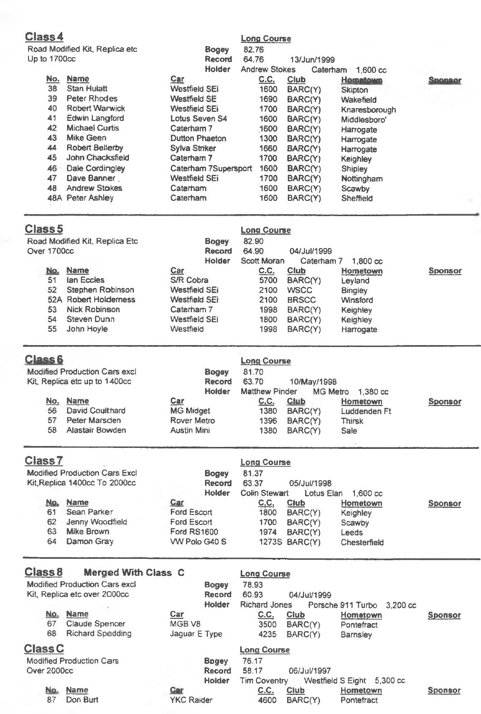### **Class4**

| Road Modified Kit, Replica etc |  |  |
|--------------------------------|--|--|
| Up to 1700cc                   |  |  |

| Class 4      |                                |                      | <b>Long Course</b>   |                |                    |                |
|--------------|--------------------------------|----------------------|----------------------|----------------|--------------------|----------------|
|              | Road Modified Kit, Replica etc | <b>Bogey</b>         | 82.76                |                |                    |                |
| Up to 1700cc |                                | <b>Record</b>        | 64.76                | 13/Jun/1999    |                    |                |
|              |                                | Holder               | <b>Andrew Stokes</b> | Caterham       | $1.600 \text{ cc}$ |                |
| No.          | <b>Name</b>                    | Car                  | <u>C.C.</u>          | <u>Club</u>    | <b>Hometown</b>    | <b>Sponsor</b> |
| 38           | Stan Hulatt                    | <b>Westfield SEi</b> | 1600                 | BARC(Y)        | Skipton            |                |
| 39           | Peter Rhodes                   | <b>Westfield SE</b>  | 1690                 | BARC(Y)        | Wakefield          |                |
| 40           | <b>Robert Warwick</b>          | Westfield SEi        | 1700                 | BARC(Y)        | Knaresborough      |                |
| 41           | Edwin Langford                 | Lotus Seven S4       | 1600                 | BARC(Y)        | Middlesboro'       |                |
| 42           | <b>Michael Curtis</b>          | Caternam 7           | 1600                 | BARC(Y)        | Harrogate          |                |
| 43           | Mike Geen                      | Dutton Phaeton       | 1300                 | <b>BARC(Y)</b> | Harrogate          |                |
| 44           | Robert Bellerby                | Sylva Striker        | 1660                 | BARC(Y)        | Harrogate          |                |
| 45           | John Chacksfield               | Caterham 7           | 1700                 | BARC(Y)        | Keighley           |                |
| 46           | Dale Cordingley                | Caterham 7Supersport | 1600                 | BARC(Y)        | Shipley            |                |
| 47           | Dave Banner                    | Westfield SEi        | 1700                 | BARC(Y)        | Nottingham         |                |
| 48           | <b>Andrew Stokes</b>           | Caterham             | 1600                 | BARC(Y)        | Scawby             |                |
|              | 48A Peter Ashley               | Caterham             | 1600                 | BARC(Y)        | Sheffield          |                |
|              |                                |                      |                      |                |                    |                |

| Class <sub>5</sub>                |                                                                                                                      |                                                                                                | <b>Long Course</b>                                          |                                                                                 |                                                                                 |                |
|-----------------------------------|----------------------------------------------------------------------------------------------------------------------|------------------------------------------------------------------------------------------------|-------------------------------------------------------------|---------------------------------------------------------------------------------|---------------------------------------------------------------------------------|----------------|
| Over 1700cc                       | Road Modified Kit, Replica Etc.                                                                                      | <b>Bogey</b><br>Record<br>Holder                                                               | 82.90<br>64.90<br>Scott Moran                               | 04/Jul/1999<br>Caterham 7                                                       | 1.800 cc                                                                        |                |
| No.<br>51<br>52<br>53<br>54<br>55 | <b>Name</b><br>lan Eccles<br>Stephen Robinson<br>52A Robert Holderness<br>Nick Robinson<br>Steven Dunn<br>John Hoyle | Car<br>S/R Cobra<br>Westfield SEi<br>Westfield SEi<br>Caterham 7<br>Westfield SEi<br>Westfield | <u>C.C.</u><br>5700<br>2100<br>2100<br>1998<br>1800<br>1998 | Club<br>BARC(Y)<br><b>WSCC</b><br><b>BRSCC</b><br>BARC(Y)<br>BARC(Y)<br>BARC(Y) | Hometown<br>Leyland<br>Bingley<br>Winsford<br>Keighley<br>Keighley<br>Harrogate | <b>Sponsor</b> |

| <b>Class 6</b>                                                 |                 |                        | <b>Long Course</b>    |             |                      |                |
|----------------------------------------------------------------|-----------------|------------------------|-----------------------|-------------|----------------------|----------------|
| Modified Production Cars excl<br>Kit, Replica etc up to 1400cc |                 | <b>Bogey</b><br>Record | 81.70<br>63.70        | 10/May/1998 |                      |                |
|                                                                |                 | Holder                 | <b>Matthew Pinder</b> |             | MG Metro<br>1.380 cc |                |
|                                                                | No. Name        | <u>Car</u>             | C.C.                  | <b>Club</b> | Hometown             | <b>Sponsor</b> |
| 56                                                             | David Coulthard | <b>MG Midget</b>       | 1380                  | BARC(Y)     | Luddenden Ft         |                |
| 57                                                             | Peter Marsden   | Rover Metro            | 1396                  | BARC(Y)     | <b>Thirsk</b>        |                |
| 58                                                             | Alastair Bowden | Austin Mini            | 1380                  | BARC(Y)     | Sale                 |                |

| <b>Class7</b> |                               |               | <b>Long Course</b> |                      |                    |                |
|---------------|-------------------------------|---------------|--------------------|----------------------|--------------------|----------------|
|               | Modified Production Cars Excl | <b>Bogey</b>  | 81.37              |                      |                    |                |
|               | Kit, Replica 1400cc To 2000cc | Record        | 63.37              | 05/Jul/1998          |                    |                |
|               |                               | Holder        | Colin Stewart      | Lotus Elan           | $1.600 \text{ cc}$ |                |
| No.           | Name                          | Car           | C.C.               | Club                 | Hometown           | <b>Sponsor</b> |
| 61            | Sean Parker                   | Ford Escort   | 1800               | BARC(Y)              | Keighley           |                |
| 62            | Jenny Woodfield               | Ford Escort   | 1700               | BARC(Y)              | Scawby             |                |
| 63            | Mike Brown                    | Ford RS1600   | 1974               | BARC(Y)              | Leeds              |                |
| 64            | Damon Gray                    | VW Polo G40 S |                    | <b>1273S BARC(Y)</b> | Chesterfield       |                |

| Class <sub>8</sub><br>Merged With Class C |                   | <b>Long Course</b>  |             |                            |                |
|-------------------------------------------|-------------------|---------------------|-------------|----------------------------|----------------|
| Modified Production Cars excl             | <b>Bogey</b>      | 78.93               |             |                            |                |
| Kit, Replica etc over 2000cc              | Record            | 60.93               | 04/Jul/1999 |                            |                |
|                                           | Holder            | Richard Jones       |             | Porsche 911 Turbo 3.200 cc |                |
| <b>Name</b><br>No.                        | Car               | <u>C.C.</u>         | Club        | Hometown                   | <b>Sponsor</b> |
| 67<br>Claude Spencer                      | MGB V8            | 3500                | BARC(Y)     | Pontefract                 |                |
| 68<br><b>Richard Spedding</b>             | Jaguar E Type     | 4235                | BARC(Y)     | <b>Barnsley</b>            |                |
| <b>Class C</b>                            |                   | <b>Long Course</b>  |             |                            |                |
| <b>Modified Production Cars</b>           | <b>B</b> pgey     | 76.17               |             |                            |                |
| Over 2000cc                               | Record            | 58.17               | 06/Jul/1997 |                            |                |
|                                           | Holder            | <b>Tim Coventry</b> |             | Westfield S Eight 5,300 cc |                |
| No.<br><b>Name</b>                        | Car               | <u>C.C.</u>         | Club        | Hometown                   | <b>Sponsor</b> |
| 87<br>Don Burt                            | <b>YKC Raider</b> | 4600                | BARC(Y)     | Pontefract                 |                |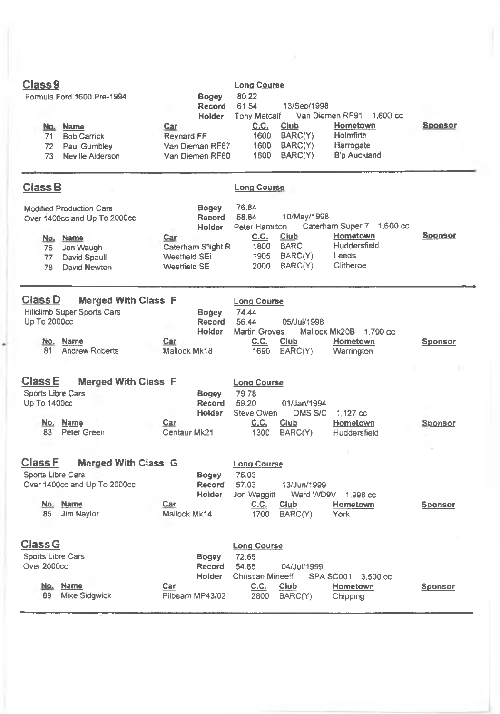| Class <sub>9</sub><br>No.<br>71<br>72<br>73                      | Formula Ford 1600 Pre-1994<br><b>Name</b><br><b>Bob Carrick</b><br>Paul Gumbley<br>Neville Alderson                      | <b>Bogey</b><br>Record<br>Holder<br>Car<br>Reynard FF<br>Van Dieman RF87<br>Van Diemen RF80    | <b>Long Course</b><br>80.22<br>61.54<br>13/Sep/1998<br>Tony Metcalf<br>Van Diemen RF91 1,600 cc<br>C.C.<br>Club<br>Hometown<br>Holmfirth<br>1600<br>BARC(Y)<br>BARC(Y)<br>Harrogate<br>1600<br>1600<br>BARC(Y)<br><b>B</b> 'p Auckland | <b>Sponsor</b> |
|------------------------------------------------------------------|--------------------------------------------------------------------------------------------------------------------------|------------------------------------------------------------------------------------------------|----------------------------------------------------------------------------------------------------------------------------------------------------------------------------------------------------------------------------------------|----------------|
| Class <sub>B</sub>                                               |                                                                                                                          |                                                                                                | <b>Long Course</b>                                                                                                                                                                                                                     |                |
| 76<br>77<br>78                                                   | <b>Modified Production Cars</b><br>Over 1400cc and Up To 2000cc<br>No. Name<br>Jon Waugh<br>David Spaull<br>David Newton | <b>Bogey</b><br>Record<br>Holder<br>Car<br>Caterham S'light R<br>Westfield SEi<br>Westfield SE | 76.84<br>58.84<br>10/May/1998<br>Caterham Super 7 1,600 cc<br>Peter Hamilton<br>Hometown<br>C.C.<br>Club<br>Huddersfield<br><b>BARC</b><br>1800<br>BARC(Y)<br><b>Leeds</b><br>1905<br>BARC(Y)<br>Clitheroe<br>2000                     | <b>Sponsor</b> |
| Class D<br>Up To 2000cc<br>81                                    | <b>Merged With Class F</b><br>Hillclimb Super Sports Cars<br>No. Name<br><b>Andrew Roberts</b>                           | Bogey<br>Record<br>Holder<br>Car<br>Mallock Mk18                                               | <b>Long Course</b><br>74.44<br>56.44<br>05/Jul/1998<br>Martin Groves<br>Mallock Mk20B 1.700 cc<br>C.C.<br>Club<br>Hometown<br>1690<br>BARC(Y)<br>Warrington                                                                            | <b>Sponsor</b> |
| <b>Class E</b><br>Sports Libre Cars<br>Up To 1400cc<br>No.<br>83 | <b>Merged With Class F</b><br><b>Name</b><br>Peter Green                                                                 | <b>Bogey</b><br>Record<br>Holder<br>Car<br>Centaur Mk21                                        | <b>Long Course</b><br>79.78<br>59.20<br>01/Jan/1994<br>Steve Owen<br>OMS S/C<br>1.127 cc<br>C.C.<br>Club<br>Hometown<br>1300<br>BARC(Y)<br>Huddersfield                                                                                | Sponsor        |
| <b>Class F</b><br>Sports Libre Cars<br>85                        | <b>Merged With Class G</b><br>Over 1400cc and Up To 2000cc<br>No. Name<br>Jim Naylor                                     | Bogey<br>Record<br>Holder<br>Car<br>Mallock Mk14                                               | <b>Long Course</b><br>75.03<br>13/Jun/1999<br>57.03<br>Jon Waggitt<br>Ward WD9V<br>1,998 cc<br>C.C.<br>Ciub<br>Hometown<br>1700<br>BARC(Y)<br>York                                                                                     | Sponsor        |
| <b>Class G</b><br>Sports Libre Cars<br>Over 2000cc<br>89         | No. Name<br>Mike Sidgwick                                                                                                | <b>Bogey</b><br><b>Record</b><br><b>Holder</b><br>Car<br>Pilbeam MP43/02                       | <b>Long Course</b><br>72.65<br>54.65<br>04/Jul/1999<br>Christian Mineeff<br>SPA SC001 3.500 cc<br>C.C.<br>Club<br>Hometown<br>2800<br>BARC(Y)<br>Chipping                                                                              | <b>Sponsor</b> |